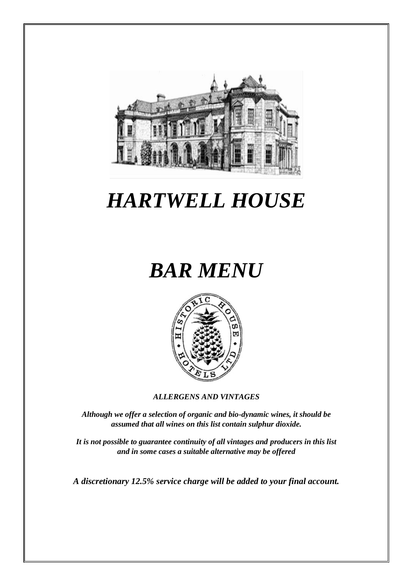

# *HARTWELL HOUSE*

# *BAR MENU*



*ALLERGENS AND VINTAGES*

*Although we offer a selection of organic and bio-dynamic wines, it should be assumed that all wines on this list contain sulphur dioxide.*

*It is not possible to guarantee continuity of all vintages and producers in this list and in some cases a suitable alternative may be offered*

*A discretionary 12.5% service charge will be added to your final account.*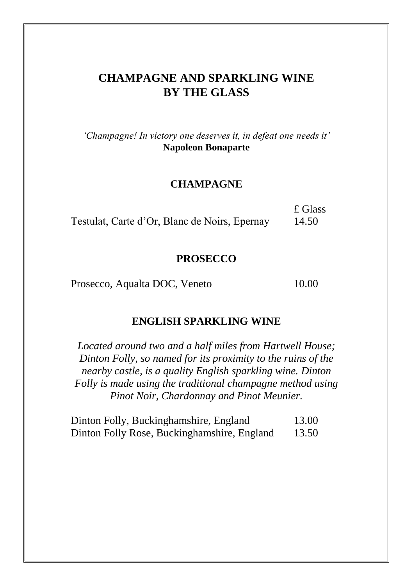# **CHAMPAGNE AND SPARKLING WINE BY THE GLASS**

*"Champagne! In victory one deserves it, in defeat one needs it"* **Napoleon Bonaparte**

#### **CHAMPAGNE**

|                                               | £ Glass |
|-----------------------------------------------|---------|
| Testulat, Carte d'Or, Blanc de Noirs, Epernay | 14.50   |

#### **PROSECCO**

Prosecco, Aqualta DOC, Veneto 10.00

#### **ENGLISH SPARKLING WINE**

*Located around two and a half miles from Hartwell House; Dinton Folly, so named for its proximity to the ruins of the nearby castle, is a quality English sparkling wine. Dinton Folly is made using the traditional champagne method using Pinot Noir, Chardonnay and Pinot Meunier.*

| Dinton Folly, Buckinghamshire, England      | 13.00 |
|---------------------------------------------|-------|
| Dinton Folly Rose, Buckinghamshire, England | 13.50 |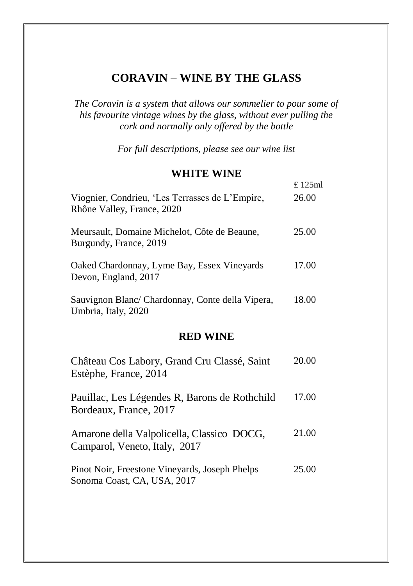## **CORAVIN – WINE BY THE GLASS**

*The Coravin is a system that allows our sommelier to pour some of his favourite vintage wines by the glass, without ever pulling the cork and normally only offered by the bottle*

*For full descriptions, please see our wine list*

#### **WHITE WINE**

£ 125ml

| Viognier, Condrieu, 'Les Terrasses de L'Empire,<br>Rhône Valley, France, 2020 | 26.00 |
|-------------------------------------------------------------------------------|-------|
| Meursault, Domaine Michelot, Côte de Beaune,<br>Burgundy, France, 2019        | 25.00 |
| Oaked Chardonnay, Lyme Bay, Essex Vinevards<br>Devon, England, 2017           | 17.00 |
| Sauvignon Blanc/ Chardonnay, Conte della Vipera,<br>Umbria, Italy, 2020       | 18.00 |

#### **RED WINE**

| Château Cos Labory, Grand Cru Classé, Saint<br>Estèphe, France, 2014          | 20.00 |
|-------------------------------------------------------------------------------|-------|
| Pauillac, Les Légendes R, Barons de Rothchild<br>Bordeaux, France, 2017       | 17.00 |
| Amarone della Valpolicella, Classico DOCG,<br>Camparol, Veneto, Italy, 2017   | 21.00 |
| Pinot Noir, Freestone Vineyards, Joseph Phelps<br>Sonoma Coast, CA, USA, 2017 | 25.00 |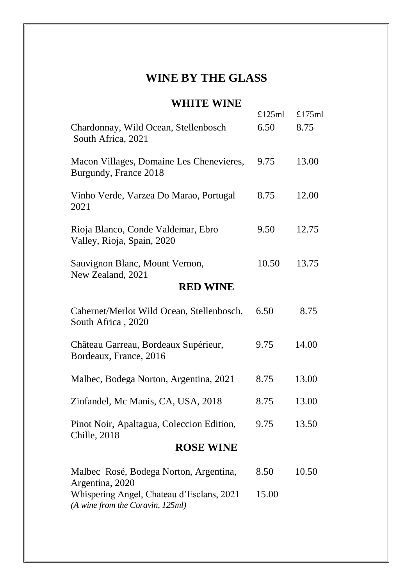# **WINE BY THE GLASS**

## **WHITE WINE**

|                                                                               | £125ml | £175ml |
|-------------------------------------------------------------------------------|--------|--------|
| Chardonnay, Wild Ocean, Stellenbosch<br>South Africa, 2021                    | 6.50   | 8.75   |
| Macon Villages, Domaine Les Chenevieres,<br>Burgundy, France 2018             | 9.75   | 13.00  |
| Vinho Verde, Varzea Do Marao, Portugal<br>2021                                | 8.75   | 12.00  |
| Rioja Blanco, Conde Valdemar, Ebro<br>Valley, Rioja, Spain, 2020              | 9.50   | 12.75  |
| Sauvignon Blanc, Mount Vernon,<br>New Zealand, 2021                           | 10.50  | 13.75  |
| <b>RED WINE</b>                                                               |        |        |
| Cabernet/Merlot Wild Ocean, Stellenbosch,<br>South Africa, 2020               | 6.50   | 8.75   |
| Château Garreau, Bordeaux Supérieur,<br>Bordeaux, France, 2016                | 9.75   | 14.00  |
| Malbec, Bodega Norton, Argentina, 2021                                        | 8.75   | 13.00  |
| Zinfandel, Mc Manis, CA, USA, 2018                                            | 8.75   | 13.00  |
| Pinot Noir, Apaltagua, Coleccion Edition,<br>Chille, 2018                     | 9.75   | 13.50  |
| <b>ROSE WINE</b>                                                              |        |        |
| Malbec Rosé, Bodega Norton, Argentina,<br>Argentina, 2020                     | 8.50   | 10.50  |
| Whispering Angel, Chateau d'Esclans, 2021<br>(A wine from the Coravin, 125ml) | 15.00  |        |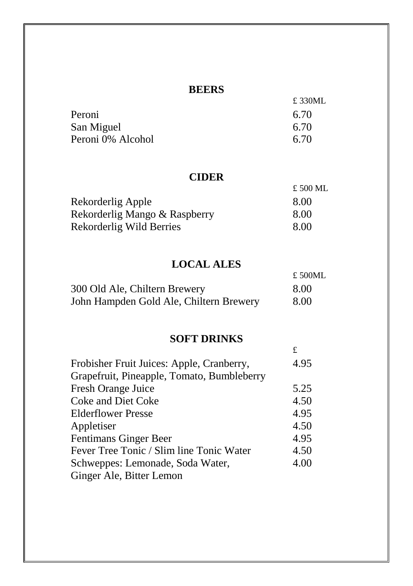## **BEERS**

|                   | £ 330ML |
|-------------------|---------|
| Peroni            | 6.70    |
| San Miguel        | 6.70    |
| Peroni 0% Alcohol | 6.70    |

## **CIDER**

|                               | £ 500 ML |
|-------------------------------|----------|
| Rekorderlig Apple             | 8.00     |
| Rekorderlig Mango & Raspberry | 8.00     |
| Rekorderlig Wild Berries      | 8.00     |

# **LOCAL ALES**

|                                         | £ 500ML |
|-----------------------------------------|---------|
| 300 Old Ale, Chiltern Brewery           | 8.00    |
| John Hampden Gold Ale, Chiltern Brewery | 8.00    |

## **SOFT DRINKS**

£

| Frobisher Fruit Juices: Apple, Cranberry,  | 4.95 |
|--------------------------------------------|------|
| Grapefruit, Pineapple, Tomato, Bumbleberry |      |
| Fresh Orange Juice                         | 5.25 |
| Coke and Diet Coke                         | 4.50 |
| <b>Elderflower Presse</b>                  | 4.95 |
| Appletiser                                 | 4.50 |
| Fentimans Ginger Beer                      | 4.95 |
| Fever Tree Tonic / Slim line Tonic Water   | 4.50 |
| Schweppes: Lemonade, Soda Water,           | 4.00 |
| Ginger Ale, Bitter Lemon                   |      |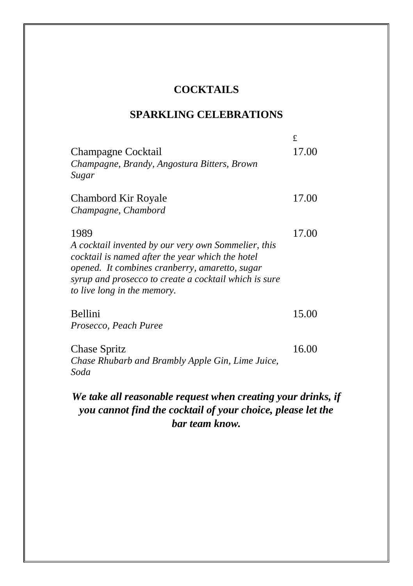# **COCKTAILS**

## **SPARKLING CELEBRATIONS**

|                                                                                                                                                                                                                    | £.    |
|--------------------------------------------------------------------------------------------------------------------------------------------------------------------------------------------------------------------|-------|
| Champagne Cocktail<br>Champagne, Brandy, Angostura Bitters, Brown                                                                                                                                                  | 17.00 |
| Sugar                                                                                                                                                                                                              |       |
| Chambord Kir Royale                                                                                                                                                                                                | 17.00 |
| Champagne, Chambord                                                                                                                                                                                                |       |
| 1989                                                                                                                                                                                                               | 17.00 |
| A cocktail invented by our very own Sommelier, this<br>cocktail is named after the year which the hotel<br>opened. It combines cranberry, amaretto, sugar<br>syrup and prosecco to create a cocktail which is sure |       |
| to live long in the memory.                                                                                                                                                                                        |       |
| Bellini                                                                                                                                                                                                            | 15.00 |
| Prosecco, Peach Puree                                                                                                                                                                                              |       |
| Chase Spritz                                                                                                                                                                                                       | 16.00 |
| Chase Rhubarb and Brambly Apple Gin, Lime Juice,                                                                                                                                                                   |       |
| Soda                                                                                                                                                                                                               |       |

# *We take all reasonable request when creating your drinks, if you cannot find the cocktail of your choice, please let the bar team know.*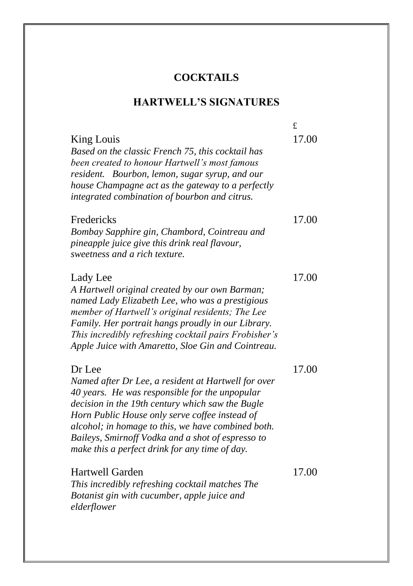# **COCKTAILS**

# **HARTWELL'S SIGNATURES**

|                                                                                                                                                                                                                                                                                                                                                                                    | £     |
|------------------------------------------------------------------------------------------------------------------------------------------------------------------------------------------------------------------------------------------------------------------------------------------------------------------------------------------------------------------------------------|-------|
| King Louis<br>Based on the classic French 75, this cocktail has<br>been created to honour Hartwell's most famous<br>resident. Bourbon, lemon, sugar syrup, and our<br>house Champagne act as the gateway to a perfectly<br>integrated combination of bourbon and citrus.                                                                                                           | 17.00 |
| Fredericks<br>Bombay Sapphire gin, Chambord, Cointreau and<br>pineapple juice give this drink real flavour,<br>sweetness and a rich texture.                                                                                                                                                                                                                                       | 17.00 |
| Lady Lee<br>A Hartwell original created by our own Barman;<br>named Lady Elizabeth Lee, who was a prestigious<br>member of Hartwell's original residents; The Lee<br>Family. Her portrait hangs proudly in our Library.<br>This incredibly refreshing cocktail pairs Frobisher's<br>Apple Juice with Amaretto, Sloe Gin and Cointreau.                                             | 17.00 |
| Dr Lee<br>Named after Dr Lee, a resident at Hartwell for over<br>40 years. He was responsible for the unpopular<br>decision in the 19th century which saw the Bugle<br>Horn Public House only serve coffee instead of<br>alcohol; in homage to this, we have combined both.<br>Baileys, Smirnoff Vodka and a shot of espresso to<br>make this a perfect drink for any time of day. | 17.00 |
| Hartwell Garden<br>This incredibly refreshing cocktail matches The<br>Botanist gin with cucumber, apple juice and<br>elderflower                                                                                                                                                                                                                                                   | 17.00 |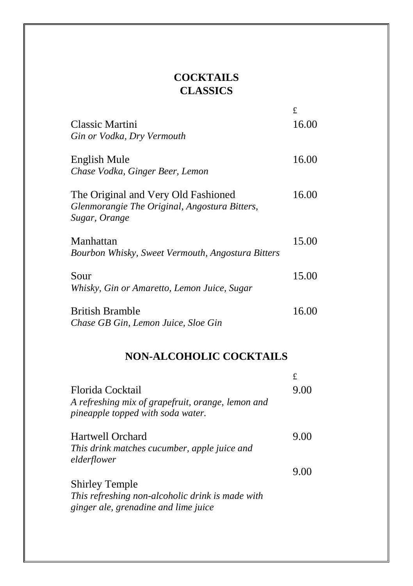# **COCKTAILS CLASSICS**

|                                                                                                       | £     |
|-------------------------------------------------------------------------------------------------------|-------|
| Classic Martini<br>Gin or Vodka, Dry Vermouth                                                         | 16.00 |
| English Mule<br>Chase Vodka, Ginger Beer, Lemon                                                       | 16.00 |
| The Original and Very Old Fashioned<br>Glenmorangie The Original, Angostura Bitters,<br>Sugar, Orange | 16.00 |
| Manhattan<br>Bourbon Whisky, Sweet Vermouth, Angostura Bitters                                        | 15.00 |
| Sour<br>Whisky, Gin or Amaretto, Lemon Juice, Sugar                                                   | 15.00 |
| <b>British Bramble</b><br>Chase GB Gin, Lemon Juice, Sloe Gin                                         | 16.00 |

# **NON-ALCOHOLIC COCKTAILS**

|                                                                                          | £    |
|------------------------------------------------------------------------------------------|------|
| Florida Cocktail                                                                         | 9.00 |
| A refreshing mix of grapefruit, orange, lemon and<br>pineapple topped with soda water.   |      |
| Hartwell Orchard                                                                         | 9.00 |
| This drink matches cucumber, apple juice and                                             |      |
| elderflower                                                                              |      |
|                                                                                          | 9.00 |
| <b>Shirley Temple</b>                                                                    |      |
| This refreshing non-alcoholic drink is made with<br>ginger ale, grenadine and lime juice |      |
|                                                                                          |      |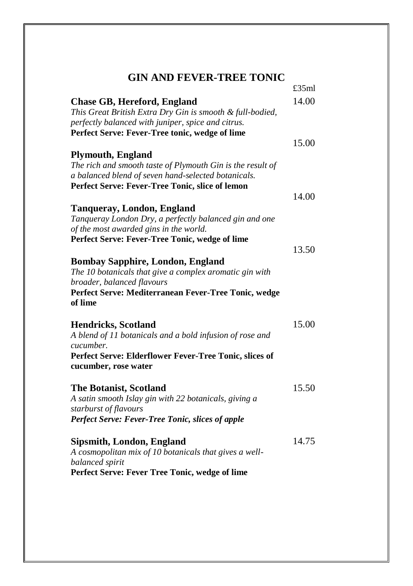#### **GIN AND FEVER-TREE TONIC**

|                                                                                                                                                                                                         | £35ml |
|---------------------------------------------------------------------------------------------------------------------------------------------------------------------------------------------------------|-------|
| <b>Chase GB, Hereford, England</b><br>This Great British Extra Dry Gin is smooth & full-bodied,<br>perfectly balanced with juniper, spice and citrus.<br>Perfect Serve: Fever-Tree tonic, wedge of lime | 14.00 |
|                                                                                                                                                                                                         | 15.00 |
| <b>Plymouth, England</b><br>The rich and smooth taste of Plymouth Gin is the result of<br>a balanced blend of seven hand-selected botanicals.<br>Perfect Serve: Fever-Tree Tonic, slice of lemon        |       |
|                                                                                                                                                                                                         | 14.00 |
| <b>Tanqueray, London, England</b><br>Tanqueray London Dry, a perfectly balanced gin and one<br>of the most awarded gins in the world.                                                                   |       |
| Perfect Serve: Fever-Tree Tonic, wedge of lime                                                                                                                                                          |       |
| <b>Bombay Sapphire, London, England</b><br>The 10 botanicals that give a complex aromatic gin with<br>broader, balanced flavours<br>Perfect Serve: Mediterranean Fever-Tree Tonic, wedge<br>of lime     | 13.50 |
| <b>Hendricks, Scotland</b><br>A blend of 11 botanicals and a bold infusion of rose and<br>cucumber.<br>Perfect Serve: Elderflower Fever-Tree Tonic, slices of<br>cucumber, rose water                   | 15.00 |
| <b>The Botanist, Scotland</b><br>A satin smooth Islay gin with 22 botanicals, giving a<br>starburst of flavours<br>Perfect Serve: Fever-Tree Tonic, slices of apple                                     | 15.50 |
| Sipsmith, London, England<br>A cosmopolitan mix of 10 botanicals that gives a well-<br>balanced spirit<br>Perfect Serve: Fever Tree Tonic, wedge of lime                                                | 14.75 |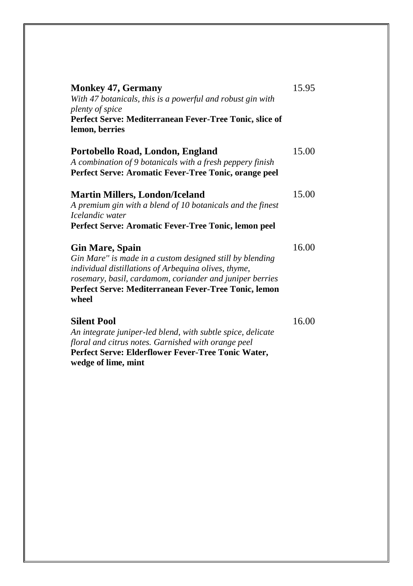| <b>Monkey 47, Germany</b><br>With 47 botanicals, this is a powerful and robust gin with<br>plenty of spice<br>Perfect Serve: Mediterranean Fever-Tree Tonic, slice of<br>lemon, berries                                                                                 | 15.95 |
|-------------------------------------------------------------------------------------------------------------------------------------------------------------------------------------------------------------------------------------------------------------------------|-------|
| Portobello Road, London, England<br>A combination of 9 botanicals with a fresh peppery finish<br>Perfect Serve: Aromatic Fever-Tree Tonic, orange peel                                                                                                                  | 15.00 |
| <b>Martin Millers, London/Iceland</b><br>A premium gin with a blend of 10 botanicals and the finest<br>Icelandic water<br>Perfect Serve: Aromatic Fever-Tree Tonic, lemon peel                                                                                          | 15.00 |
| <b>Gin Mare, Spain</b><br>Gin Mare" is made in a custom designed still by blending<br>individual distillations of Arbequina olives, thyme,<br>rosemary, basil, cardamom, coriander and juniper berries<br>Perfect Serve: Mediterranean Fever-Tree Tonic, lemon<br>wheel | 16.00 |
| <b>Silent Pool</b><br>An integrate juniper-led blend, with subtle spice, delicate<br>floral and citrus notes. Garnished with orange peel<br>Perfect Serve: Elderflower Fever-Tree Tonic Water,                                                                          | 16.00 |

**wedge of lime, mint**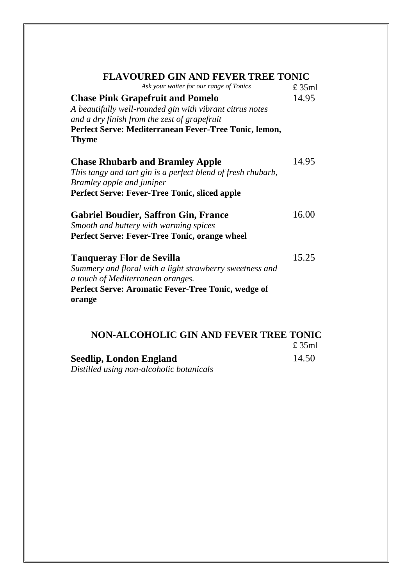| FLAVOURED GIN AND FEVER TREE TONIC                                    |          |
|-----------------------------------------------------------------------|----------|
| Ask your waiter for our range of Tonics                               | $£$ 35ml |
| <b>Chase Pink Grapefruit and Pomelo</b>                               | 14.95    |
| A beautifully well-rounded gin with vibrant citrus notes              |          |
| and a dry finish from the zest of grapefruit                          |          |
| Perfect Serve: Mediterranean Fever-Tree Tonic, lemon,<br><b>Thyme</b> |          |
| <b>Chase Rhubarb and Bramley Apple</b>                                | 14.95    |
| This tangy and tart gin is a perfect blend of fresh rhubarb,          |          |
| Bramley apple and juniper                                             |          |
| <b>Perfect Serve: Fever-Tree Tonic, sliced apple</b>                  |          |
| <b>Gabriel Boudier, Saffron Gin, France</b>                           | 16.00    |
| Smooth and buttery with warming spices                                |          |
| Perfect Serve: Fever-Tree Tonic, orange wheel                         |          |
| Tanqueray Flor de Sevilla                                             | 15.25    |
| Summery and floral with a light strawberry sweetness and              |          |
| a touch of Mediterranean oranges.                                     |          |
| Perfect Serve: Aromatic Fever-Tree Tonic, wedge of                    |          |
| orange                                                                |          |
|                                                                       |          |

| NON-ALCOHOLIC GIN AND FEVER TREE TONIC |        |
|----------------------------------------|--------|
|                                        | £ 35ml |
| Seedlip, London England                | 14.50  |

*Distilled using non-alcoholic botanicals*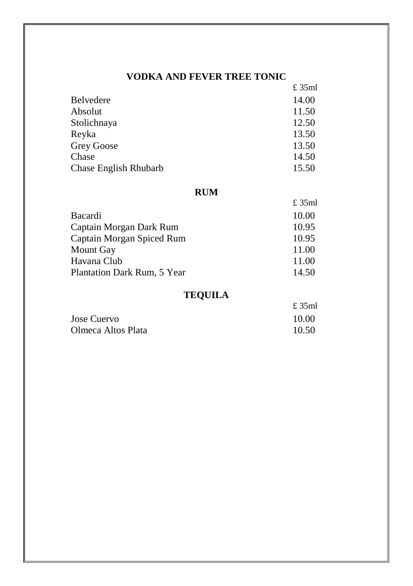#### **VODKA AND FEVER TREE TONIC**

|                       | £ 35ml |
|-----------------------|--------|
| <b>Belvedere</b>      | 14.00  |
| Absolut               | 11.50  |
| Stolichnaya           | 12.50  |
| Reyka                 | 13.50  |
| Grey Goose            | 13.50  |
| Chase                 | 14.50  |
| Chase English Rhubarb | 15.50  |

#### **RUM**

|                             | £ 35ml |
|-----------------------------|--------|
| Bacardi                     | 10.00  |
| Captain Morgan Dark Rum     | 10.95  |
| Captain Morgan Spiced Rum   | 10.95  |
| Mount Gay                   | 11.00  |
| Havana Club                 | 11.00  |
| Plantation Dark Rum, 5 Year | 14.50  |

## **TEQUILA**

|                    | £ 35ml |
|--------------------|--------|
| Jose Cuervo        | 10.00  |
| Olmeca Altos Plata | 10.50  |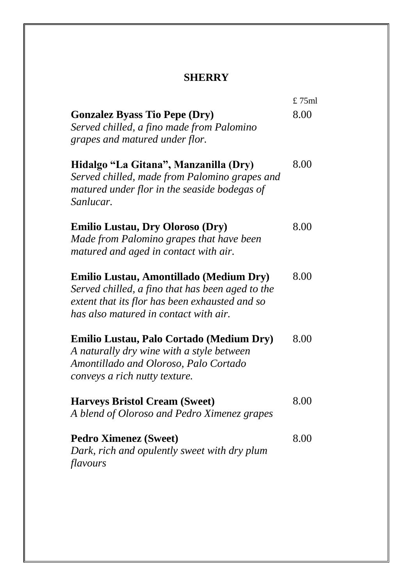## **SHERRY**

|                                                                                                                                                                 | £75ml |
|-----------------------------------------------------------------------------------------------------------------------------------------------------------------|-------|
| <b>Gonzalez Byass Tio Pepe (Dry)</b>                                                                                                                            | 8.00  |
| Served chilled, a fino made from Palomino                                                                                                                       |       |
| grapes and matured under flor.                                                                                                                                  |       |
| Hidalgo "La Gitana", Manzanilla (Dry)<br>Served chilled, made from Palomino grapes and<br>matured under flor in the seaside bodegas of<br>Sanlucar.             | 8.00  |
| <b>Emilio Lustau, Dry Oloroso (Dry)</b>                                                                                                                         | 8.00  |
| Made from Palomino grapes that have been                                                                                                                        |       |
| matured and aged in contact with air.                                                                                                                           |       |
| Emilio Lustau, Amontillado (Medium Dry)                                                                                                                         | 8.00  |
| Served chilled, a fino that has been aged to the                                                                                                                |       |
| extent that its flor has been exhausted and so                                                                                                                  |       |
| has also matured in contact with air.                                                                                                                           |       |
| Emilio Lustau, Palo Cortado (Medium Dry)<br>A naturally dry wine with a style between<br>Amontillado and Oloroso, Palo Cortado<br>conveys a rich nutty texture. | 8.00  |
| <b>Harveys Bristol Cream (Sweet)</b>                                                                                                                            | 8.00  |
| A blend of Oloroso and Pedro Ximenez grapes                                                                                                                     |       |
| <b>Pedro Ximenez (Sweet)</b><br>Dark, rich and opulently sweet with dry plum                                                                                    | 8.00  |
| flavours                                                                                                                                                        |       |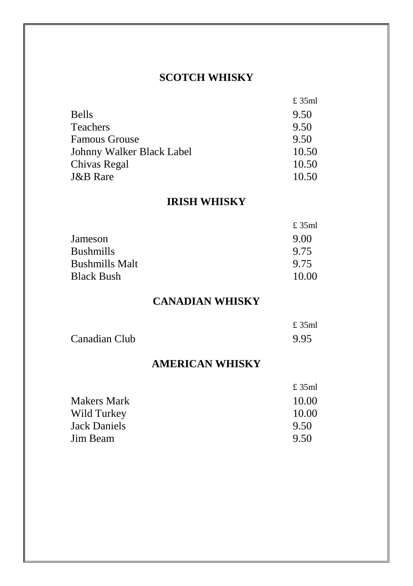## **SCOTCH WHISKY**

 $225 - 1$ 

|                           | t ээmi |
|---------------------------|--------|
| <b>Bells</b>              | 9.50   |
| <b>Teachers</b>           | 9.50   |
| <b>Famous Grouse</b>      | 9.50   |
| Johnny Walker Black Label | 10.50  |
| Chivas Regal              | 10.50  |
| <b>J&amp;B</b> Rare       | 10.50  |

## **IRISH WHISKY**

|                       | £ 35ml |
|-----------------------|--------|
| Jameson               | 9.00   |
| <b>Bushmills</b>      | 9.75   |
| <b>Bushmills Malt</b> | 9.75   |
| <b>Black Bush</b>     | 10.00  |

## **CANADIAN WHISKY**

|               | £ 35ml |
|---------------|--------|
| Canadian Club | 9.95   |

#### **AMERICAN WHISKY**

| £ 35ml |
|--------|
| 10.00  |
| 10.00  |
| 9.50   |
| 9.50   |
|        |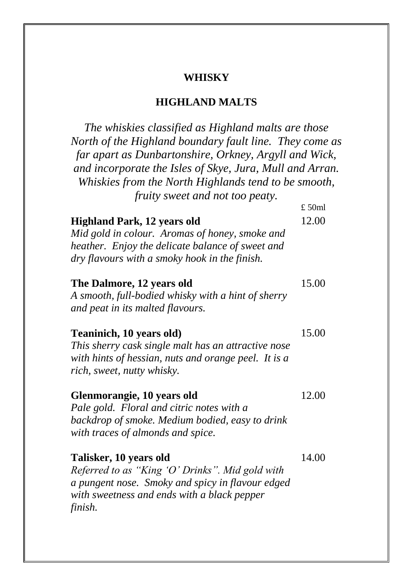#### **WHISKY**

#### **HIGHLAND MALTS**

*The whiskies classified as Highland malts are those North of the Highland boundary fault line. They come as far apart as Dunbartonshire, Orkney, Argyll and Wick, and incorporate the Isles of Skye, Jura, Mull and Arran. Whiskies from the North Highlands tend to be smooth, fruity sweet and not too peaty.*  $f(50m)$ 

|                                                                                                                                                                                           | $\sim$ - $\sim$ $\sim$ $\sim$ |
|-------------------------------------------------------------------------------------------------------------------------------------------------------------------------------------------|-------------------------------|
| <b>Highland Park, 12 years old</b><br>Mid gold in colour. Aromas of honey, smoke and<br>heather. Enjoy the delicate balance of sweet and<br>dry flavours with a smoky hook in the finish. | 12.00                         |
| The Dalmore, 12 years old<br>A smooth, full-bodied whisky with a hint of sherry<br>and peat in its malted flavours.                                                                       | 15.00                         |
| Teaninich, 10 years old)<br>This sherry cask single malt has an attractive nose<br>with hints of hessian, nuts and orange peel. It is a<br>rich, sweet, nutty whisky.                     | 15.00                         |
| Glenmorangie, 10 years old<br>Pale gold. Floral and citric notes with a<br>backdrop of smoke. Medium bodied, easy to drink<br>with traces of almonds and spice.                           | 12.00                         |
| Talisker, 10 years old<br>Referred to as "King 'O' Drinks". Mid gold with<br>a pungent nose. Smoky and spicy in flavour edged<br>with sweetness and ends with a black pepper<br>finish.   | 14.00                         |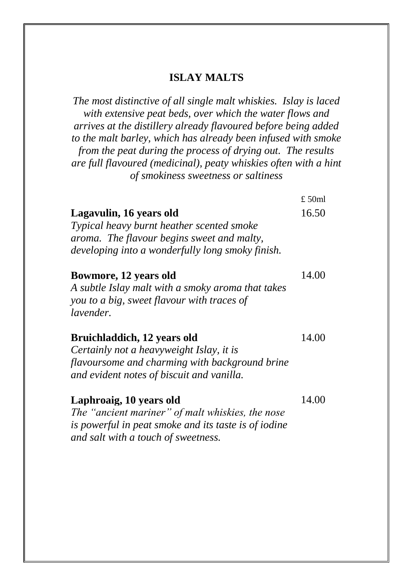#### **ISLAY MALTS**

*The most distinctive of all single malt whiskies. Islay is laced with extensive peat beds, over which the water flows and arrives at the distillery already flavoured before being added to the malt barley, which has already been infused with smoke from the peat during the process of drying out. The results are full flavoured (medicinal), peaty whiskies often with a hint of smokiness sweetness or saltiness*

|                                                                                                                                                                        | £ 50ml |
|------------------------------------------------------------------------------------------------------------------------------------------------------------------------|--------|
| Lagavulin, 16 years old<br>Typical heavy burnt heather scented smoke                                                                                                   | 16.50  |
| aroma. The flavour begins sweet and malty,<br>developing into a wonderfully long smoky finish.                                                                         |        |
| Bowmore, 12 years old<br>A subtle Islay malt with a smoky aroma that takes                                                                                             | 14.00  |
| you to a big, sweet flavour with traces of<br><i>lavender.</i>                                                                                                         |        |
| Bruichladdich, 12 years old<br>Certainly not a heavyweight Islay, it is<br>flavoursome and charming with background brine<br>and evident notes of biscuit and vanilla. | 14.00  |
| Laphroaig, 10 years old<br>The "ancient mariner" of malt whiskies, the nose                                                                                            | 14.00  |

*is powerful in peat smoke and its taste is of iodine and salt with a touch of sweetness.*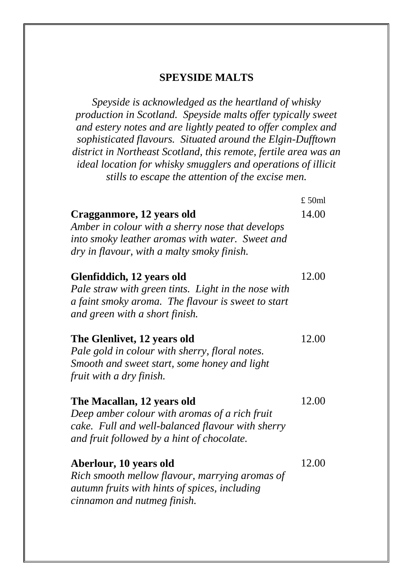#### **SPEYSIDE MALTS**

*Speyside is acknowledged as the heartland of whisky production in Scotland. Speyside malts offer typically sweet and estery notes and are lightly peated to offer complex and sophisticated flavours. Situated around the Elgin-Dufftown district in Northeast Scotland, this remote, fertile area was an ideal location for whisky smugglers and operations of illicit stills to escape the attention of the excise men.*

|                                                                                                                                                                                | $£$ 50ml |
|--------------------------------------------------------------------------------------------------------------------------------------------------------------------------------|----------|
| Cragganmore, 12 years old<br>Amber in colour with a sherry nose that develops<br>into smoky leather aromas with water. Sweet and<br>dry in flavour, with a malty smoky finish. | 14.00    |
| Glenfiddich, 12 years old<br>Pale straw with green tints. Light in the nose with<br>a faint smoky aroma. The flavour is sweet to start<br>and green with a short finish.       | 12.00    |
| The Glenlivet, 12 years old<br>Pale gold in colour with sherry, floral notes.<br>Smooth and sweet start, some honey and light<br>fruit with a dry finish.                      | 12.00    |
| The Macallan, 12 years old<br>Deep amber colour with aromas of a rich fruit<br>cake. Full and well-balanced flavour with sherry<br>and fruit followed by a hint of chocolate.  | 12.00    |
| Aberlour, 10 years old<br>Rich smooth mellow flavour, marrying aromas of<br>autumn fruits with hints of spices, including<br>cinnamon and nutmeg finish.                       | 12.00    |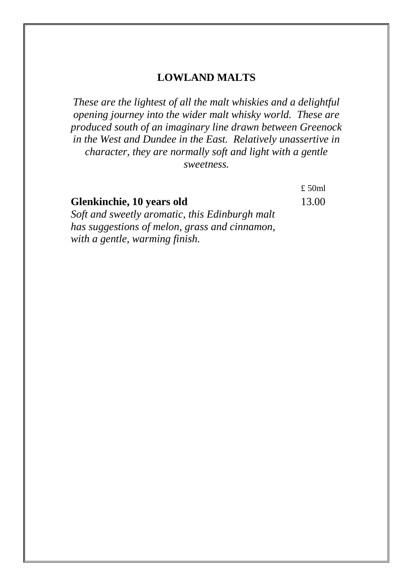#### **LOWLAND MALTS**

*These are the lightest of all the malt whiskies and a delightful opening journey into the wider malt whisky world. These are produced south of an imaginary line drawn between Greenock in the West and Dundee in the East. Relatively unassertive in character, they are normally soft and light with a gentle sweetness.*

£ 50ml **Glenkinchie, 10 years old** *Soft and sweetly aromatic, this Edinburgh malt has suggestions of melon, grass and cinnamon, with a gentle, warming finish.* 13.00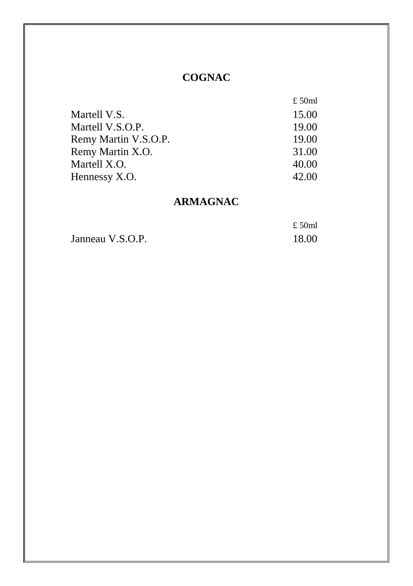## **COGNAC**

|                      | £ 50ml |
|----------------------|--------|
| Martell V.S.         | 15.00  |
| Martell V.S.O.P.     | 19.00  |
| Remy Martin V.S.O.P. | 19.00  |
| Remy Martin X.O.     | 31.00  |
| Martell X.O.         | 40.00  |
| Hennessy X.O.        | 42.00  |

## **ARMAGNAC**

|                  | £ 50ml |
|------------------|--------|
| Janneau V.S.O.P. | 18.00  |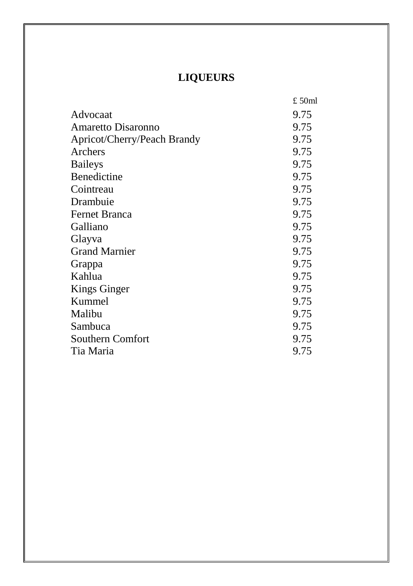# **LIQUEURS**

|                             | £50ml |
|-----------------------------|-------|
| Advocaat                    | 9.75  |
| Amaretto Disaronno          | 9.75  |
| Apricot/Cherry/Peach Brandy | 9.75  |
| Archers                     | 9.75  |
| <b>Baileys</b>              | 9.75  |
| Benedictine                 | 9.75  |
| Cointreau                   | 9.75  |
| Drambuie                    | 9.75  |
| <b>Fernet Branca</b>        | 9.75  |
| Galliano                    | 9.75  |
| Glayva                      | 9.75  |
| <b>Grand Marnier</b>        | 9.75  |
| Grappa                      | 9.75  |
| Kahlua                      | 9.75  |
| Kings Ginger                | 9.75  |
| Kummel                      | 9.75  |
| Malibu                      | 9.75  |
| Sambuca                     | 9.75  |
| Southern Comfort            | 9.75  |
| Tia Maria                   | 9.75  |